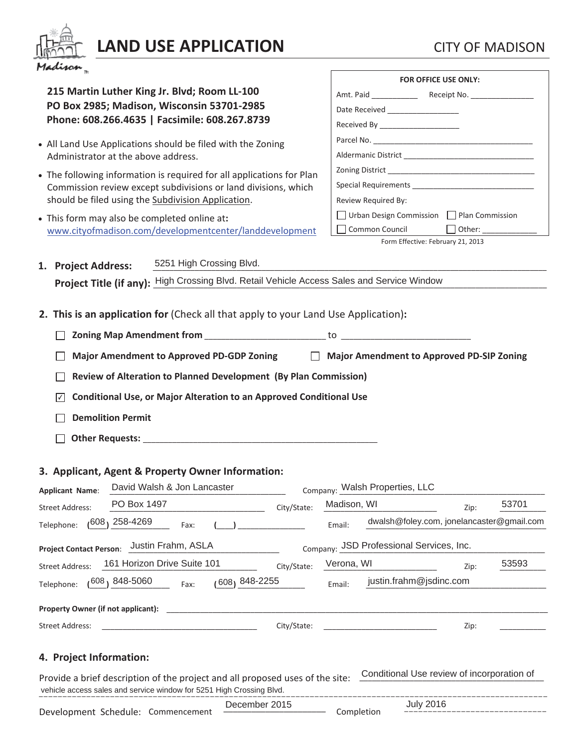

## **LAND USE APPLICATION** CITY OF MADISON

**215 Martin Luther King Jr. Blvd; Room LL-100 PO Box 2985; Madison, Wisconsin 53701-2985 Phone: 608.266.4635 | Facsimile: 608.267.8739**  • All Land Use Applications should be filed with the Zoning Administrator at the above address. • The following information is required for all applications for Plan Commission review except subdivisions or land divisions, which should be filed using the Subdivision Application. x This form may also be completed online at**:**  www.cityofmadison.com/developmentcenter/landdevelopment 1. Project Address: **Project Title (if any):** High Crossing Blvd. Retail Vehicle Access Sales and Service Window **2. This is an application for** (Check all that apply to your Land Use Application)**: Zoning Map Amendment from** \_\_\_\_\_\_\_\_\_\_\_\_\_\_\_\_\_\_\_\_\_\_\_\_\_\_\_\_\_ to \_\_\_\_\_\_\_\_\_\_\_\_\_\_\_\_\_\_\_\_\_\_\_\_\_\_\_\_\_\_\_ **Major Amendment to Approved PD-GDP Zoning Major Amendment to Approved PD-SIP Zoning Review of Alteration to Planned Development (By Plan Commission) Conditional Use, or Major Alteration to an Approved Conditional Use** ✔ **Demolition Permit Other Requests:** \_\_\_\_\_\_\_\_\_\_\_\_\_\_\_\_\_\_\_\_\_\_\_\_\_\_\_\_\_\_\_\_\_\_\_\_\_\_\_\_\_\_\_\_\_\_\_\_\_\_\_\_\_\_\_\_ **3. Applicant, Agent & Property Owner Information:**  Applicant Name: David Walsh & Jon Lancaster Company: Walsh Properties, LLC  $\text{Street Address:}\quad\quad \frac{\text{PODox 1497}}{\text{PODox 1497}}\quad\quad \text{with}\quad \text{City/State:}\quad\quad \frac{\text{Madusori, vvi}}{\text{Madusori, vvi}}\quad\quad \text{2ip:}\quad\quad \frac{\text{33701}}{\text{PODox 1497}}\quad\quad \text{248.19}$ Telephone:  $(^{608})$  258-4269 Fax: (\_\_\_) \_\_\_\_\_\_\_\_\_\_\_\_\_\_ Email: dwalsh@foley.com, jonelancaster@gmail.com **Project Contact Person:** Justin Frahm, ASLA Street Address: 161 Horizon Drive Suite 101 City/State: Verona, WI New Lip: 53593 Telephone:  $(608)$  848-5060  $_{\text{Fax:}}$   $(608)$  848-2255 **Email: Property Owner (if not applicant):** Street Address: \_\_\_\_\_\_\_\_\_\_\_\_\_\_\_\_\_\_\_\_\_\_\_\_\_\_\_\_\_\_\_\_\_\_\_\_\_ City/State: \_\_\_\_\_\_\_\_\_\_\_\_\_\_\_\_\_\_\_\_\_\_\_\_\_\_\_ Zip: \_\_\_\_\_\_\_\_\_\_\_ **4. Project Information: FOR OFFICE USE ONLY:**  Amt. Paid \_\_\_\_\_\_\_\_\_\_\_ Receipt No. \_\_\_\_\_\_\_\_\_\_\_\_\_\_\_ Date Received Received By Parcel No. Aldermanic District \_\_\_\_\_\_\_\_\_\_\_\_\_\_\_\_\_\_\_\_\_\_\_\_\_\_\_\_\_\_\_ Zoning District Special Requirements Review Required By:  $\Box$  Urban Design Commission  $\Box$  Plan Commission Common Council **Council** Other: Form Effective: February 21, 2013 5251 High Crossing Blvd. PO Box 1497 **Madison**, WI 53701 Company: JSD Professional Services, Inc. justin.frahm@jsdinc.com

Provide a brief description of the project and all proposed uses of the site: vehicle access sales and service window for 5251 High Crossing Blvd. Conditional Use review of incorporation of

|                                    | December 2015 |            | July 2016 |
|------------------------------------|---------------|------------|-----------|
| Development Schedule: Commencement |               | Completion |           |